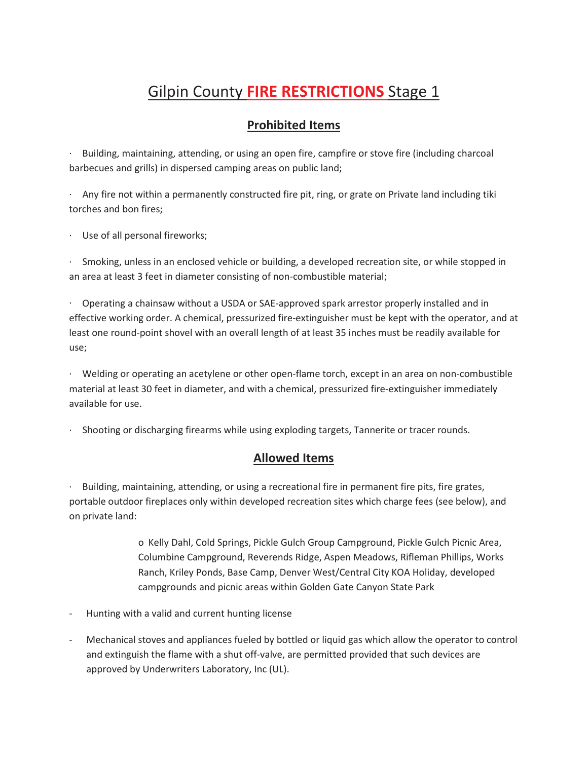# Gilpin County **FIRE RESTRICTIONS** Stage 1

# **Prohibited Items**

· Building, maintaining, attending, or using an open fire, campfire or stove fire (including charcoal barbecues and grills) in dispersed camping areas on public land;

· Any fire not within a permanently constructed fire pit, ring, or grate on Private land including tiki torches and bon fires;

· Use of all personal fireworks;

Smoking, unless in an enclosed vehicle or building, a developed recreation site, or while stopped in an area at least 3 feet in diameter consisting of non-combustible material;

· Operating a chainsaw without a USDA or SAE-approved spark arrestor properly installed and in effective working order. A chemical, pressurized fire-extinguisher must be kept with the operator, and at least one round-point shovel with an overall length of at least 35 inches must be readily available for use;

· Welding or operating an acetylene or other open-flame torch, except in an area on non-combustible material at least 30 feet in diameter, and with a chemical, pressurized fire-extinguisher immediately available for use.

· Shooting or discharging firearms while using exploding targets, Tannerite or tracer rounds.

## **Allowed Items**

Building, maintaining, attending, or using a recreational fire in permanent fire pits, fire grates, portable outdoor fireplaces only within developed recreation sites which charge fees (see below), and on private land:

> o Kelly Dahl, Cold Springs, Pickle Gulch Group Campground, Pickle Gulch Picnic Area, Columbine Campground, Reverends Ridge, Aspen Meadows, Rifleman Phillips, Works Ranch, Kriley Ponds, Base Camp, Denver West/Central City KOA Holiday, developed campgrounds and picnic areas within Golden Gate Canyon State Park

- Hunting with a valid and current hunting license
- Mechanical stoves and appliances fueled by bottled or liquid gas which allow the operator to control and extinguish the flame with a shut off-valve, are permitted provided that such devices are approved by Underwriters Laboratory, Inc (UL).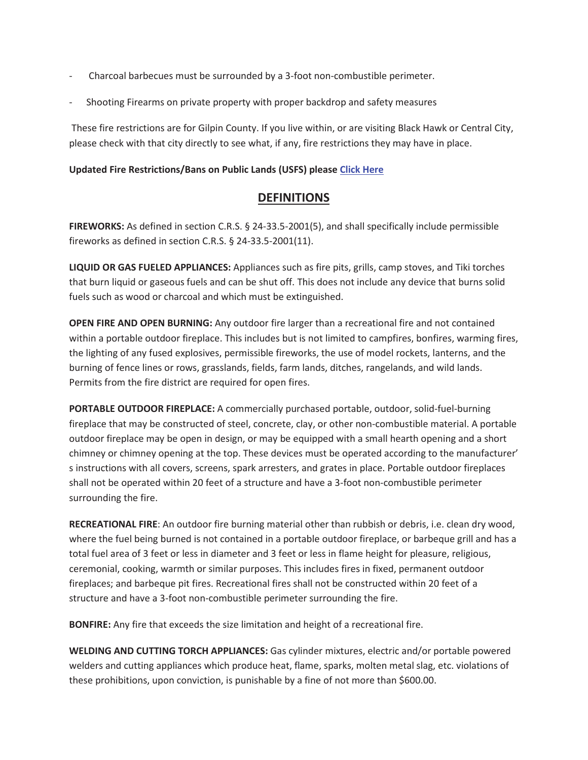- Charcoal barbecues must be surrounded by a 3-foot non-combustible perimeter.
- Shooting Firearms on private property with proper backdrop and safety measures

 These fire restrictions are for Gilpin County. If you live within, or are visiting Black Hawk or Central City, please check with that city directly to see what, if any, fire restrictions they may have in place.

#### **Updated Fire Restrictions/Bans on Public Lands (USFS) please Click Here**

## **DEFINITIONS**

**FIREWORKS:** As defined in section C.R.S. § 24-33.5-2001(5), and shall specifically include permissible fireworks as defined in section C.R.S. § 24-33.5-2001(11).

**LIQUID OR GAS FUELED APPLIANCES:** Appliances such as fire pits, grills, camp stoves, and Tiki torches that burn liquid or gaseous fuels and can be shut off. This does not include any device that burns solid fuels such as wood or charcoal and which must be extinguished.

**OPEN FIRE AND OPEN BURNING:** Any outdoor fire larger than a recreational fire and not contained within a portable outdoor fireplace. This includes but is not limited to campfires, bonfires, warming fires, the lighting of any fused explosives, permissible fireworks, the use of model rockets, lanterns, and the burning of fence lines or rows, grasslands, fields, farm lands, ditches, rangelands, and wild lands. Permits from the fire district are required for open fires.

**PORTABLE OUTDOOR FIREPLACE:** A commercially purchased portable, outdoor, solid-fuel-burning fireplace that may be constructed of steel, concrete, clay, or other non-combustible material. A portable outdoor fireplace may be open in design, or may be equipped with a small hearth opening and a short chimney or chimney opening at the top. These devices must be operated according to the manufacturer' s instructions with all covers, screens, spark arresters, and grates in place. Portable outdoor fireplaces shall not be operated within 20 feet of a structure and have a 3-foot non-combustible perimeter surrounding the fire.

**RECREATIONAL FIRE**: An outdoor fire burning material other than rubbish or debris, i.e. clean dry wood, where the fuel being burned is not contained in a portable outdoor fireplace, or barbeque grill and has a total fuel area of 3 feet or less in diameter and 3 feet or less in flame height for pleasure, religious, ceremonial, cooking, warmth or similar purposes. This includes fires in fixed, permanent outdoor fireplaces; and barbeque pit fires. Recreational fires shall not be constructed within 20 feet of a structure and have a 3-foot non-combustible perimeter surrounding the fire.

**BONFIRE:** Any fire that exceeds the size limitation and height of a recreational fire.

**WELDING AND CUTTING TORCH APPLIANCES:** Gas cylinder mixtures, electric and/or portable powered welders and cutting appliances which produce heat, flame, sparks, molten metal slag, etc. violations of these prohibitions, upon conviction, is punishable by a fine of not more than \$600.00.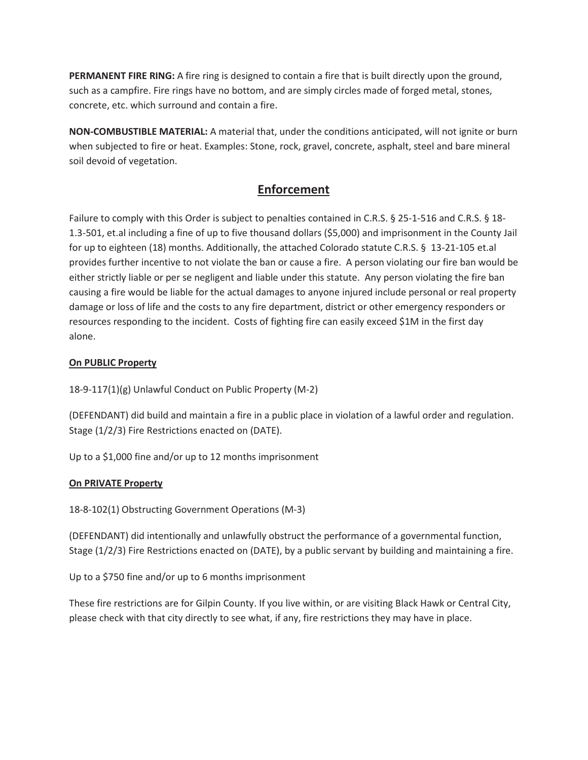**PERMANENT FIRE RING:** A fire ring is designed to contain a fire that is built directly upon the ground, such as a campfire. Fire rings have no bottom, and are simply circles made of forged metal, stones, concrete, etc. which surround and contain a fire.

**NON-COMBUSTIBLE MATERIAL:** A material that, under the conditions anticipated, will not ignite or burn when subjected to fire or heat. Examples: Stone, rock, gravel, concrete, asphalt, steel and bare mineral soil devoid of vegetation.

# **Enforcement**

Failure to comply with this Order is subject to penalties contained in C.R.S. § 25-1-516 and C.R.S. § 18-1.3-501, et.al including a fine of up to five thousand dollars (\$5,000) and imprisonment in the County Jail for up to eighteen (18) months. Additionally, the attached Colorado statute C.R.S. § 13-21-105 et.al provides further incentive to not violate the ban or cause a fire. A person violating our fire ban would be either strictly liable or per se negligent and liable under this statute. Any person violating the fire ban causing a fire would be liable for the actual damages to anyone injured include personal or real property damage or loss of life and the costs to any fire department, district or other emergency responders or resources responding to the incident. Costs of fighting fire can easily exceed \$1M in the first day alone.

### **On PUBLIC Property**

18-9-117(1)(g) Unlawful Conduct on Public Property (M-2)

(DEFENDANT) did build and maintain a fire in a public place in violation of a lawful order and regulation. Stage (1/2/3) Fire Restrictions enacted on (DATE).

Up to a \$1,000 fine and/or up to 12 months imprisonment

#### **On PRIVATE Property**

18-8-102(1) Obstructing Government Operations (M-3)

(DEFENDANT) did intentionally and unlawfully obstruct the performance of a governmental function, Stage (1/2/3) Fire Restrictions enacted on (DATE), by a public servant by building and maintaining a fire.

Up to a \$750 fine and/or up to 6 months imprisonment

These fire restrictions are for Gilpin County. If you live within, or are visiting Black Hawk or Central City, please check with that city directly to see what, if any, fire restrictions they may have in place.